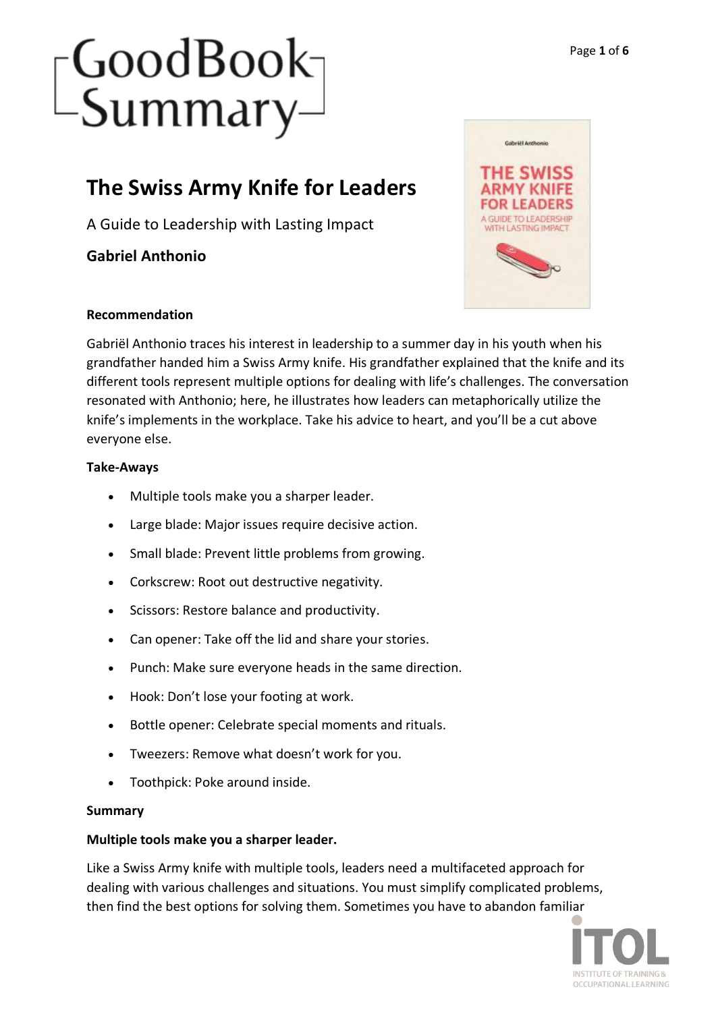## **The Swiss Army Knife for Leaders**

A Guide to Leadership with Lasting Impact

**Gabriel Anthonio**



### **Recommendation**

Gabriël Anthonio traces his interest in leadership to a summer day in his youth when his grandfather handed him a Swiss Army knife. His grandfather explained that the knife and its different tools represent multiple options for dealing with life's challenges. The conversation resonated with Anthonio; here, he illustrates how leaders can metaphorically utilize the knife's implements in the workplace. Take his advice to heart, and you'll be a cut above everyone else.

### **Take-Aways**

- Multiple tools make you a sharper leader.
- Large blade: Major issues require decisive action.
- Small blade: Prevent little problems from growing.
- Corkscrew: Root out destructive negativity.
- Scissors: Restore balance and productivity.
- Can opener: Take off the lid and share your stories.
- Punch: Make sure everyone heads in the same direction.
- Hook: Don't lose your footing at work.
- Bottle opener: Celebrate special moments and rituals.
- Tweezers: Remove what doesn't work for you.
- Toothpick: Poke around inside.

### **Summary**

### **Multiple tools make you a sharper leader.**

Like a Swiss Army knife with multiple tools, leaders need a multifaceted approach for dealing with various challenges and situations. You must simplify complicated problems, then find the best options for solving them. Sometimes you have to abandon familiar

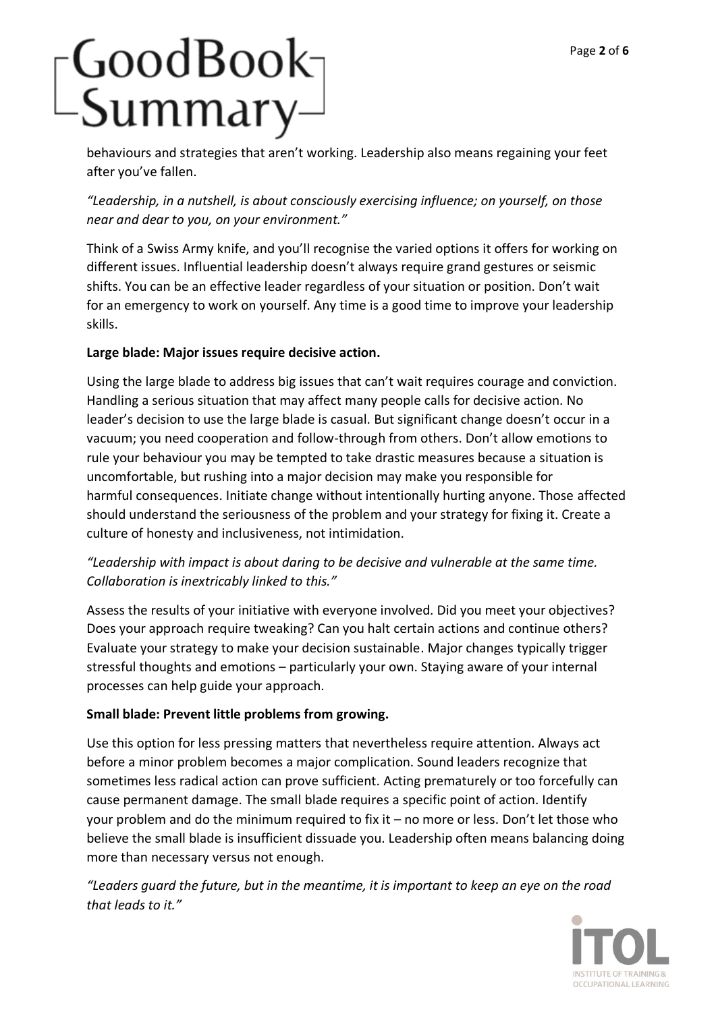## GoodBook-<br>-Summary–

behaviours and strategies that aren't working. Leadership also means regaining your feet after you've fallen.

*"Leadership, in a nutshell, is about consciously exercising influence; on yourself, on those near and dear to you, on your environment."*

Think of a Swiss Army knife, and you'll recognise the varied options it offers for working on different issues. Influential leadership doesn't always require grand gestures or seismic shifts. You can be an effective leader regardless of your situation or position. Don't wait for an emergency to work on yourself. Any time is a good time to improve your leadership skills.

### **Large blade: Major issues require decisive action.**

Using the large blade to address big issues that can't wait requires courage and conviction. Handling a serious situation that may affect many people calls for decisive action. No leader's decision to use the large blade is casual. But significant change doesn't occur in a vacuum; you need cooperation and follow-through from others. Don't allow emotions to rule your behaviour you may be tempted to take drastic measures because a situation is uncomfortable, but rushing into a major decision may make you responsible for harmful consequences. Initiate change without intentionally hurting anyone. Those affected should understand the seriousness of the problem and your strategy for fixing it. Create a culture of honesty and inclusiveness, not intimidation.

## *"Leadership with impact is about daring to be decisive and vulnerable at the same time. Collaboration is inextricably linked to this."*

Assess the results of your initiative with everyone involved. Did you meet your objectives? Does your approach require tweaking? Can you halt certain actions and continue others? Evaluate your strategy to make your decision sustainable. Major changes typically trigger stressful thoughts and emotions – particularly your own. Staying aware of your internal processes can help guide your approach.

### **Small blade: Prevent little problems from growing.**

Use this option for less pressing matters that nevertheless require attention. Always act before a minor problem becomes a major complication. Sound leaders recognize that sometimes less radical action can prove sufficient. Acting prematurely or too forcefully can cause permanent damage. The small blade requires a specific point of action. Identify your problem and do the minimum required to fix it – no more or less. Don't let those who believe the small blade is insufficient dissuade you. Leadership often means balancing doing more than necessary versus not enough.

*"Leaders guard the future, but in the meantime, it is important to keep an eye on the road that leads to it."*

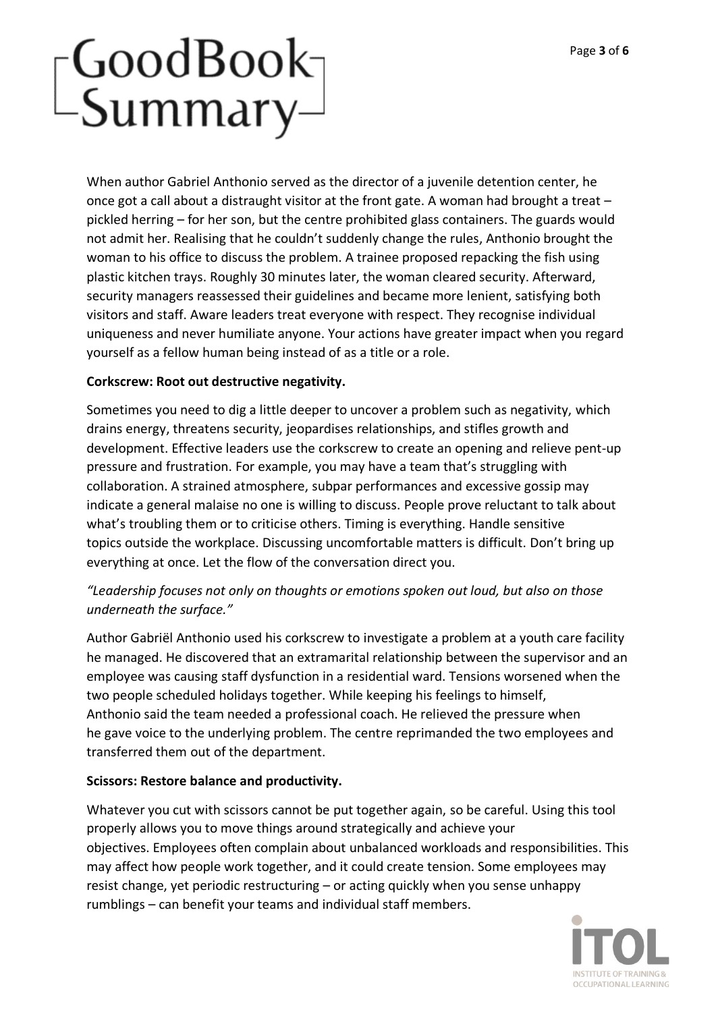When author Gabriel Anthonio served as the director of a juvenile detention center, he once got a call about a distraught visitor at the front gate. A woman had brought a treat – pickled herring – for her son, but the centre prohibited glass containers. The guards would not admit her. Realising that he couldn't suddenly change the rules, Anthonio brought the woman to his office to discuss the problem. A trainee proposed repacking the fish using plastic kitchen trays. Roughly 30 minutes later, the woman cleared security. Afterward, security managers reassessed their guidelines and became more lenient, satisfying both visitors and staff. Aware leaders treat everyone with respect. They recognise individual uniqueness and never humiliate anyone. Your actions have greater impact when you regard yourself as a fellow human being instead of as a title or a role.

### **Corkscrew: Root out destructive negativity.**

Sometimes you need to dig a little deeper to uncover a problem such as negativity, which drains energy, threatens security, jeopardises relationships, and stifles growth and development. Effective leaders use the corkscrew to create an opening and relieve pent-up pressure and frustration. For example, you may have a team that's struggling with collaboration. A strained atmosphere, subpar performances and excessive gossip may indicate a general malaise no one is willing to discuss. People prove reluctant to talk about what's troubling them or to criticise others. Timing is everything. Handle sensitive topics outside the workplace. Discussing uncomfortable matters is difficult. Don't bring up everything at once. Let the flow of the conversation direct you.

## *"Leadership focuses not only on thoughts or emotions spoken out loud, but also on those underneath the surface."*

Author Gabriël Anthonio used his corkscrew to investigate a problem at a youth care facility he managed. He discovered that an extramarital relationship between the supervisor and an employee was causing staff dysfunction in a residential ward. Tensions worsened when the two people scheduled holidays together. While keeping his feelings to himself, Anthonio said the team needed a professional coach. He relieved the pressure when he gave voice to the underlying problem. The centre reprimanded the two employees and transferred them out of the department.

### **Scissors: Restore balance and productivity.**

Whatever you cut with scissors cannot be put together again, so be careful. Using this tool properly allows you to move things around strategically and achieve your objectives. Employees often complain about unbalanced workloads and responsibilities. This may affect how people work together, and it could create tension. Some employees may resist change, yet periodic restructuring – or acting quickly when you sense unhappy rumblings – can benefit your teams and individual staff members.

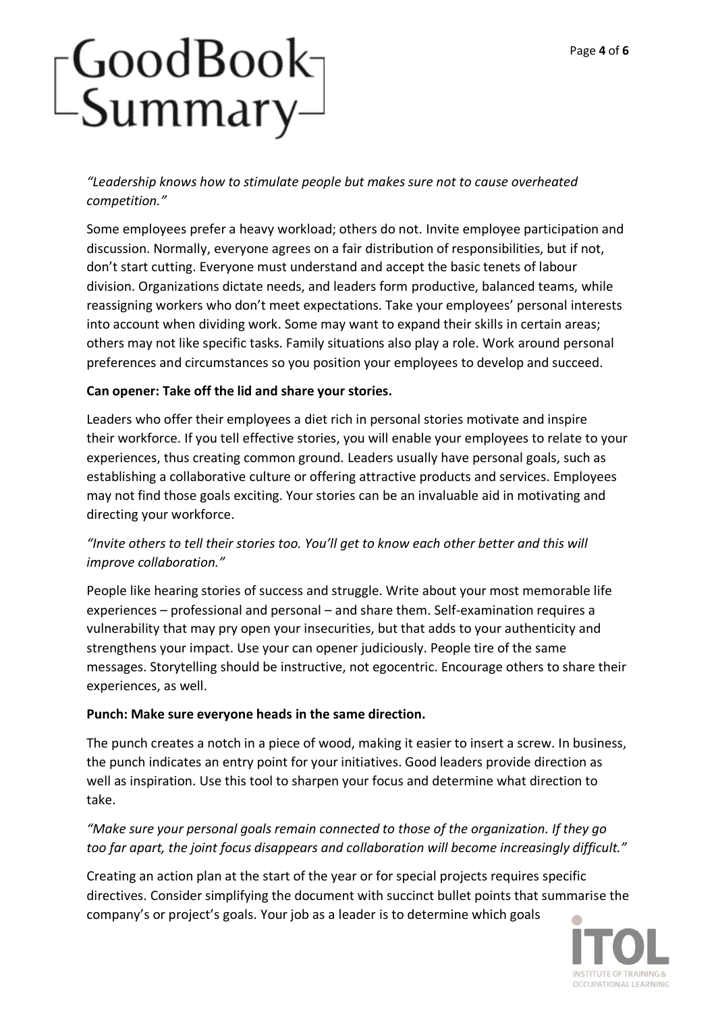*"Leadership knows how to stimulate people but makes sure not to cause overheated competition."*

Some employees prefer a heavy workload; others do not. Invite employee participation and discussion. Normally, everyone agrees on a fair distribution of responsibilities, but if not, don't start cutting. Everyone must understand and accept the basic tenets of labour division. Organizations dictate needs, and leaders form productive, balanced teams, while reassigning workers who don't meet expectations. Take your employees' personal interests into account when dividing work. Some may want to expand their skills in certain areas; others may not like specific tasks. Family situations also play a role. Work around personal preferences and circumstances so you position your employees to develop and succeed.

## **Can opener: Take off the lid and share your stories.**

Leaders who offer their employees a diet rich in personal stories motivate and inspire their workforce. If you tell effective stories, you will enable your employees to relate to your experiences, thus creating common ground. Leaders usually have personal goals, such as establishing a collaborative culture or offering attractive products and services. Employees may not find those goals exciting. Your stories can be an invaluable aid in motivating and directing your workforce.

### *"Invite others to tell their stories too. You'll get to know each other better and this will improve collaboration."*

People like hearing stories of success and struggle. Write about your most memorable life experiences – professional and personal – and share them. Self-examination requires a vulnerability that may pry open your insecurities, but that adds to your authenticity and strengthens your impact. Use your can opener judiciously. People tire of the same messages. Storytelling should be instructive, not egocentric. Encourage others to share their experiences, as well.

### **Punch: Make sure everyone heads in the same direction.**

The punch creates a notch in a piece of wood, making it easier to insert a screw. In business, the punch indicates an entry point for your initiatives. Good leaders provide direction as well as inspiration. Use this tool to sharpen your focus and determine what direction to take.

*"Make sure your personal goals remain connected to those of the organization. If they go too far apart, the joint focus disappears and collaboration will become increasingly difficult."*

Creating an action plan at the start of the year or for special projects requires specific directives. Consider simplifying the document with succinct bullet points that summarise the company's or project's goals. Your job as a leader is to determine which goals

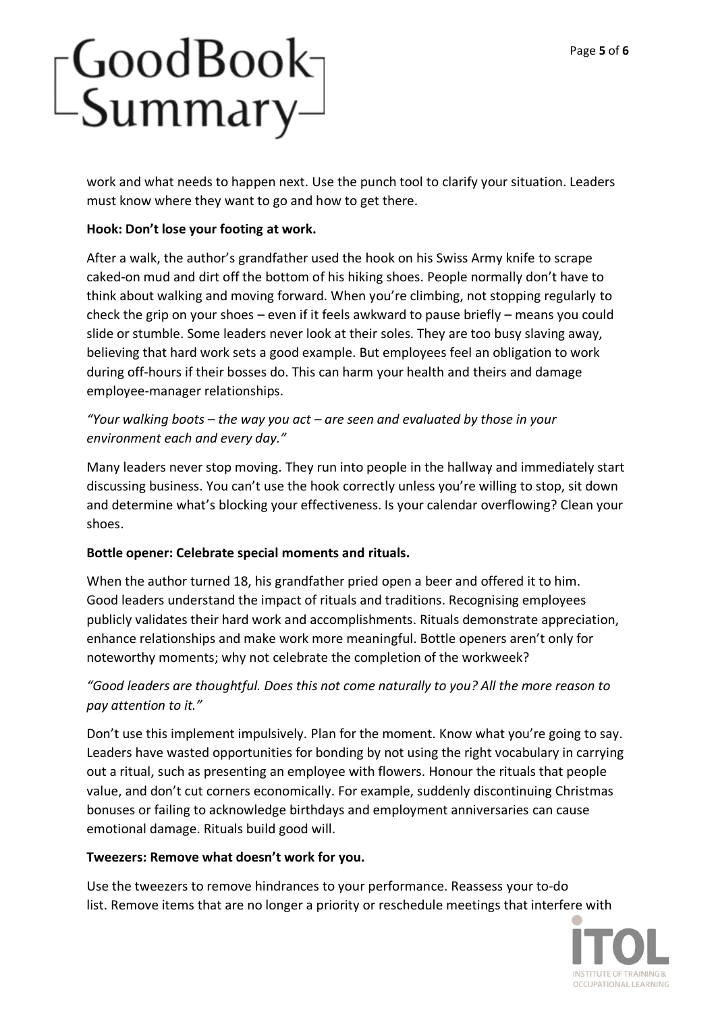work and what needs to happen next. Use the punch tool to clarify your situation. Leaders must know where they want to go and how to get there.

## **Hook: Don't lose your footing at work.**

After a walk, the author's grandfather used the hook on his Swiss Army knife to scrape caked-on mud and dirt off the bottom of his hiking shoes. People normally don't have to think about walking and moving forward. When you're climbing, not stopping regularly to check the grip on your shoes – even if it feels awkward to pause briefly – means you could slide or stumble. Some leaders never look at their soles. They are too busy slaving away, believing that hard work sets a good example. But employees feel an obligation to work during off-hours if their bosses do. This can harm your health and theirs and damage employee-manager relationships.

## *"Your walking boots – the way you act – are seen and evaluated by those in your environment each and every day."*

Many leaders never stop moving. They run into people in the hallway and immediately start discussing business. You can't use the hook correctly unless you're willing to stop, sit down and determine what's blocking your effectiveness. Is your calendar overflowing? Clean your shoes.

### **Bottle opener: Celebrate special moments and rituals.**

When the author turned 18, his grandfather pried open a beer and offered it to him. Good leaders understand the impact of rituals and traditions. Recognising employees publicly validates their hard work and accomplishments. Rituals demonstrate appreciation, enhance relationships and make work more meaningful. Bottle openers aren't only for noteworthy moments; why not celebrate the completion of the workweek?

## *"Good leaders are thoughtful. Does this not come naturally to you? All the more reason to pay attention to it."*

Don't use this implement impulsively. Plan for the moment. Know what you're going to say. Leaders have wasted opportunities for bonding by not using the right vocabulary in carrying out a ritual, such as presenting an employee with flowers. Honour the rituals that people value, and don't cut corners economically. For example, suddenly discontinuing Christmas bonuses or failing to acknowledge birthdays and employment anniversaries can cause emotional damage. Rituals build good will.

### **Tweezers: Remove what doesn't work for you.**

Use the tweezers to remove hindrances to your performance. Reassess your to-do list. Remove items that are no longer a priority or reschedule meetings that interfere with